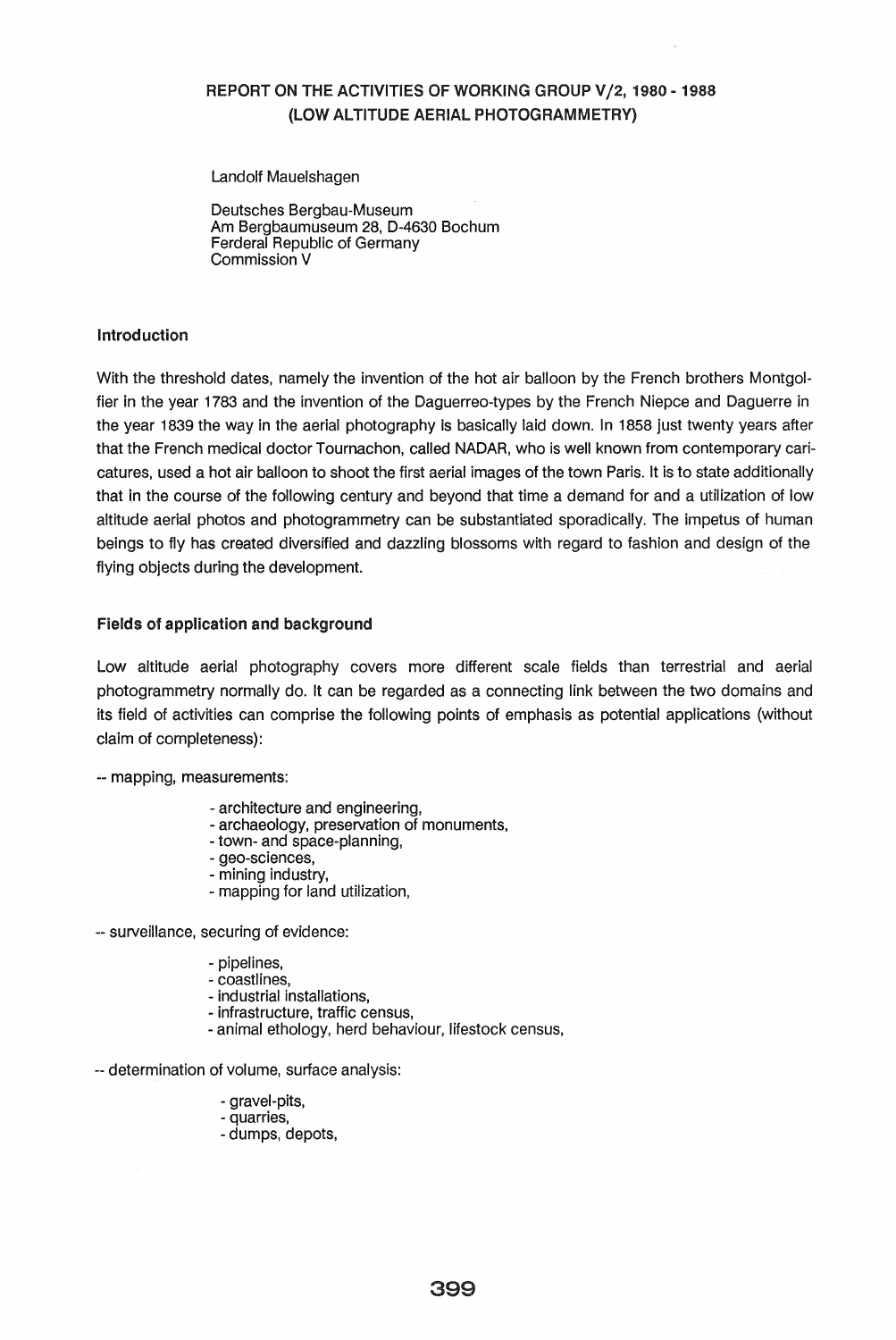# REPORT ON THE ACTIVITIES OF WORKING GROUP V/2, 1980 - 1988 (LOW ALTITUDE AERIAL PHOTOGRAMMETRY)

Landolf Mauelshagen

Oeutsches Bergbau-Museum Am Bergbaumuseum 28, 0-4630 Bochum Ferderal Republic of Germany Commission V

### **Introduction**

With the threshold dates, namely the invention of the hot air balloon by the French brothers Montgolfier in the year 1783 and the invention of the Oaguerreo-types by the French Niepce and Oaguerre in the year 1839 the way in the aerial photography is basically laid down. In 1858 just twenty years after that the French medical doctor Tournachon, called NAOAR, who is well known from contemporary caricatures, used a hot air balloon to shoot the first aerial images of the town Paris. It is to state additionally that in the course of the following century and beyond that time a demand for and a utilization of low altitude aerial photos and photogrammetry can be substantiated sporadically. The impetus of human beings to fly has created diversified and dazzling blossoms with regard to fashion and design of the flying objects during the development.

### Fields of application and background

Low altitude aerial photography covers more different scale fields than terrestrial and aerial photogrammetry normally do. It can be regarded as a connecting link between the two domains and its field of activities can comprise the following points of emphasis as potential applications (without claim of completeness):

-- mapping, measurements:

- architecture and engineering,
- archaeology, preservation of monuments,
- town- and space-planning,
- geo-sciences,
- mining industry,
- mapping for land utilization,

-- surveillance, securing of evidence:

- pipelines,
- coastlines,
- industrial installations,
- infrastructure, traffic census,
- animal ethology, herd behaviour, lifestock census,

-. determination of volume, surface analysis:

- gravel-pits,
- quarries,
- dumps, depots,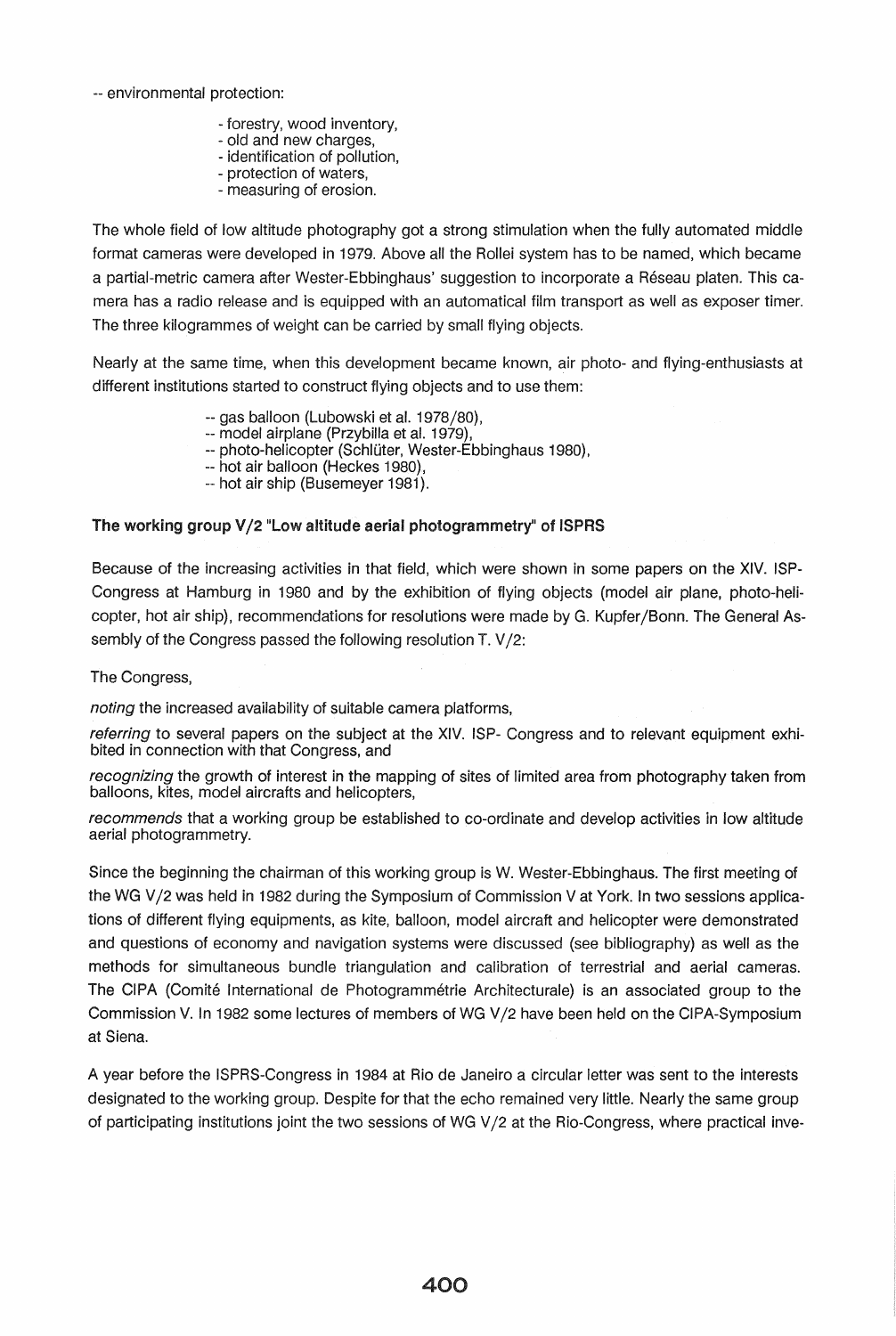-- environmental protection:

- forestry, wood inventory,
- old and new charges,
- identification of pollution, - protection of waters,
- measuring of erosion.

The whole field of low altitude photography got a strong stimulation when the fully automated middle format cameras were developed in 1979. Above all the Rollei system has to be named, which became a partial-metric camera after Wester-Ebbinghaus' suggestion to incorporate a Reseau platen. This camera has a radio release and is equipped with an automatical film transport as well as exposer timer. The three kilogrammes of weight can be carried by small flying objects.

Nearly at the same time, when this development became known, air photo- and flying-enthusiasts at different institutions started to construct flying objects and to use them:

- -- gas balloon (Lubowski et al. 1978/80),
- -- model airplane (Przybilla et al. 1979),
- -- photo-helicopter (Schlüter, Wester-Ebbinghaus 1980),
- -- hot air balloon (Heckes 1980),
- -- hot air ship (Busemeyer 1981).

## The working group V/2 "Low altitude aerial photogrammetry" of ISPRS

Because of the increasing activities in that field, which were shown in some papers on the XIV. ISP-Congress at Hamburg in 1980 and by the exhibition of flying objects (model air plane, photo-helicopter, hot air ship), recommendations for resolutions were made by G. Kupfer/Bonn. The General Assembly of the Congress passed the following resolution T. V/2:

The Congress,

noting the increased availability of suitable camera platforms,

referring to several papers on the subject at the XIV. ISP- Congress and to relevant equipment exhibited in connection with that Congress, and

recognizing the growth of interest in the mapping of sites of limited area from photography taken from balloons, kites, model aircrafts and helicopters,

recommends that a working group be established to co-ordinate and develop activities in low altitude aerial photogrammetry.

Since the beginning the chairman of this working group is W. Wester-Ebbinghaus. The first meeting of the WG V/2 was held in 1982 during the Symposium of Commission V at York. In two sessions applications of different flying equipments, as kite, balloon, model aircraft and helicopter were demonstrated and questions of economy and navigation systems were discussed (see bibliography) as well as the methods for simultaneous bundle triangulation and calibration of terrestrial and aerial cameras. The CIPA (Comite International de Photogrammetrie Architecturale) is an associated group to the Commission V. In 1982 some lectures of members of WG V /2 have been held on the CIPA-Symposium at Siena.

A year before the ISPRS-Congress in 1984 at Rio de Janeiro a circular letter was sent to the interests designated to the working group. Despite for that the echo remained very little. Nearly the same group of participating institutions joint the two sessions of WG V/2 at the Rio-Congress, where practical inve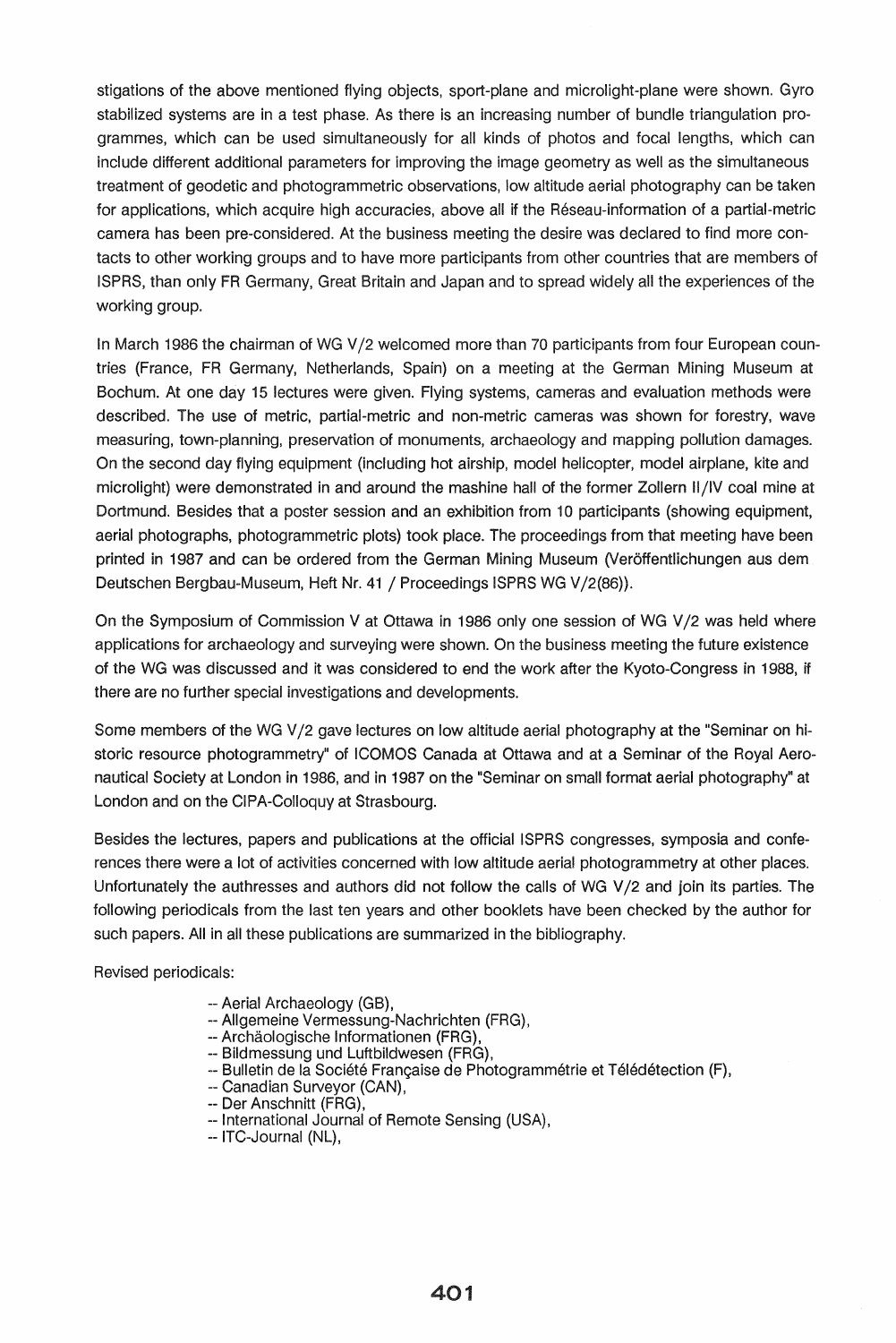stigations of the above mentioned flying objects, sport-plane and microlight-plane were shown. Gyro stabilized systems are in a test phase. As there is an increasing number of bundle triangulation programmes, which can be used simultaneously for all kinds of photos and focal lengths, which can include different additional parameters for improving the image geometry as well as the simultaneous treatment of geodetic and photogrammetric observations, low altitude aerial photography can be taken for applications, which acquire high accuracies, above all if the Reseau-information of a partial-metric camera has been pre-considered. At the business meeting the desire was declared to find more contacts to other working groups and to have more participants from other countries that are members of ISPRS, than only FR Germany, Great Britain and Japan and to spread widely all the experiences of the working group.

In March 1986 the chairman of WG V/2 welcomed more than 70 participants from four European countries (France, FR Germany, Netherlands, Spain) on a meeting at the German Mining Museum at Bochum. At one day 15 lectures were given. Flying systems, cameras and evaluation methods were described. The use of metric, partial-metric and non-metric cameras was shown for forestry, wave measuring, town-planning, preservation of monuments, archaeology and mapping pollution damages. On the second day flying equipment (including hot airship, model helicopter, model airplane, kite and microlight) were demonstrated in and around the mashine hall of the former Zollern II /IV coal mine at Dortmund. Besides that a poster session and an exhibition from 10 participants (showing equipment, aerial photographs, photogrammetric plots) took place. The proceedings from that meeting have been printed in 1987 and can be ordered from the German Mining Museum (Veroffentlichungen aus dem Deutschen Bergbau-Museum, Heft Nr. 41 / Proceedings ISPRS WG V/2(86)).

On the Symposium of Commission V at Ottawa in 1986 only one session of WG V/2 was held where applications for archaeology and surveying were shown. On the business meeting the future existence of the WG was discussed and it was considered to end the work after the Kyoto-Congress in 1988, if there are no further special investigations and developments.

Some members of the WG V/2 gave lectures on low altitude aerial photography at the "Seminar on historic resource photogrammetry" of ICOMOS Canada at Ottawa and at a Seminar of the Royal Aeronautical Society at London in 1986, and in 1987 on the "Seminar on small format aerial photography" at London and on the CIPA-Colloquy at Strasbourg.

Besides the lectures, papers and publications at the official ISPRS congresses, symposia and conferences there were a lot of activities concerned with low altitude aerial photogrammetry at other places. Unfortunately the authresses and authors did not follow the calls of WG V/2 and join its parties. The following periodicals from the last ten years and other booklets have been checked by the author for such papers. All in all these publications are summarized in the bibliography.

Revised periodicals:

- -- Aerial Archaeology (GB),
- -- Allgemeine Vermessung-Nachrichten (FRG),
- -- Archäologische Informationen (FRG),
- -- Bildmessung und Luftbildwesen (FRG).
- -- Bulletin de la Société Française de Photogrammétrie et Télédétection (F),
- -- Canadian Surveyor (CAN),
- -- Der Anschnitt (FRG),
- -- International Journal of Remote Sensing (USA),
- -- ITC-Journal (NL),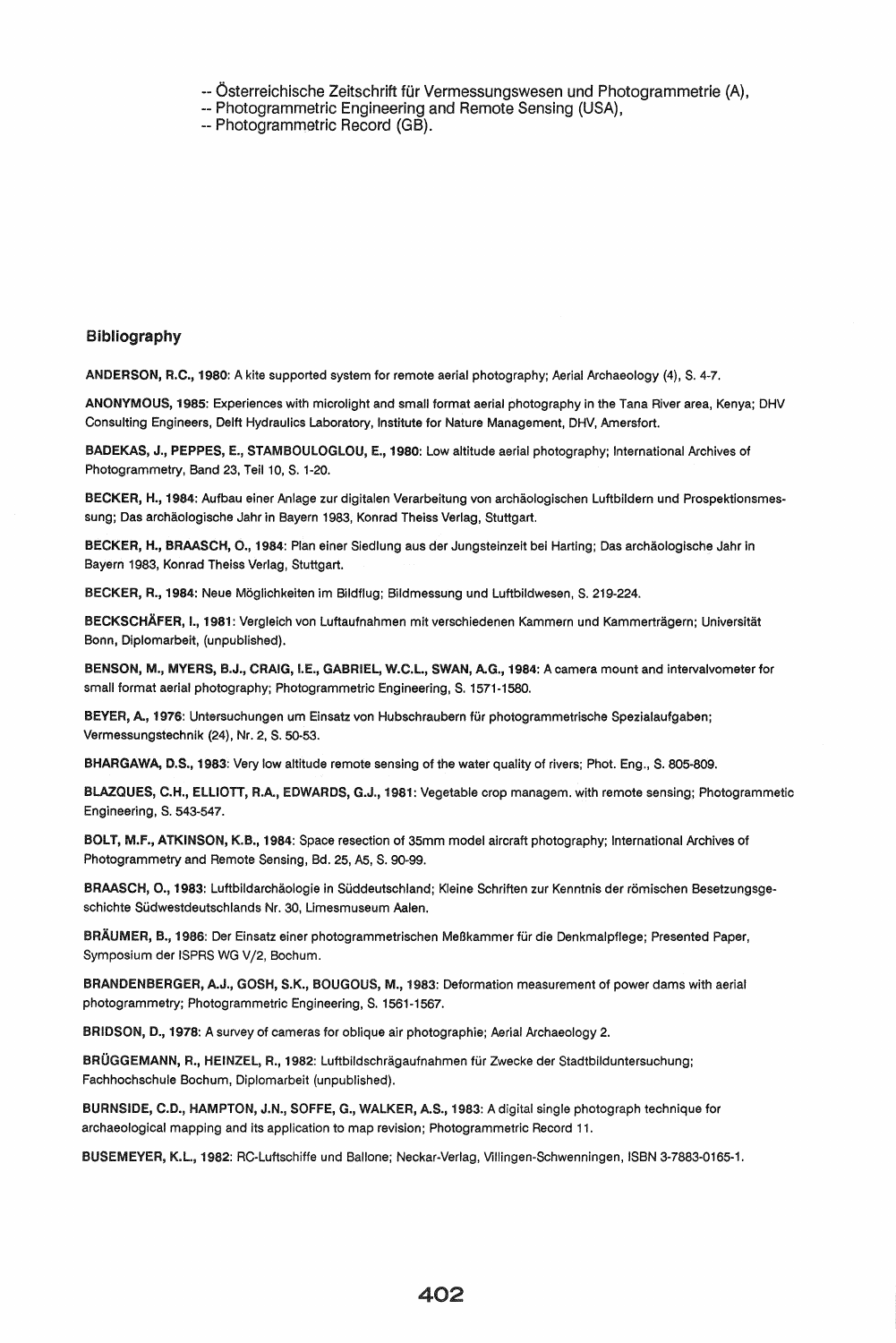-- Österreichische Zeitschrift für Vermessungswesen und Photogrammetrie (A),

- -. Photogrammetric Engineering and Remote Sensing (USA).
- -- Photogrammetric Record (GB).

#### Bibliography

ANDERSON, R.C., 1980: A kite supported system for remote aerial photography; Aerial Archaeology (4), S. 4-7.

ANONYMOUS, 1985: Experiences with microlight and small format aerial photography in the Tana River area, Kenya; DHV Consulting Engineers, Delft Hydraulics Laboratory, Institute for Nature Management, DHV, Amersfort.

BADEKAS, J., PEPPES, E., STAMBOULOGLOU, E., 1980: Low altitude aerial photography; International Archives of Photogrammetry, Band 23, Teil 10, S. 1-20.

BECKER, H., 1984: Aufbau einer Anlage zur digitalen Verarbeitung von archaologischen Luftbildern und Prospektionsmessung; Das archäologische Jahr in Bayern 1983, Konrad Theiss Verlag, Stuttgart.

BECKER, H., BRAASCH, O., 1984: Plan einer Siedlung aus der Jungsteinzeit bei Harting; Das archäologische Jahr in Bayern 1983, Konrad Theiss Verlag, Stuttgart.

BECKER, R., 1984: Neue Moglichkeiten im Bildflug; Bildmessung und Luftbildwesen, S. 219-224.

BECKSCHAFER, I., 1981: Vergleich von Luftaufnahmen mit verschiedenen Kammern und Kammertragern; Universitat Bonn, Diplomarbeit, (unpublished).

BENSON, M., MYERS, B.J., CRAIG, I.E., GABRIEL, W.C.L., SWAN, AG., 1984: A camera mount and intervalvometer for small format aerial photography; Photogrammetric Engineering, S. 1571-1580.

BEYER, A., 1976: Untersuchungen um Einsatz von Hubschraubern für photogrammetrische Spezialaufgaben; Vermessungstechnik (24), Nr. 2, S. 50-53.

BHARGAWA, D.S., 1983: Very low altitude remote sensing of the water quality of rivers; Phot. Eng., S. 805-809.

BlAZQUES, C.H., ELLIOTT, R.A., EDWARDS, G.J., 1981: Vegetable crop managem. with remote sensing; Photogrammetic Engineering, S. 543-547.

BOLT, M.F., ATKINSON, K.B., 1984: Space resection of 35mm model aircraft photography; International Archives of Photogrammetry and Remote Sensing, 8d. 25, A5, S. 90-99.

BRAASCH, O., 1983: Luftbildarchäologie in Süddeutschland; Kleine Schriften zur Kenntnis der römischen Besetzungsgeschichte Südwestdeutschlands Nr. 30, Limesmuseum Aalen.

BRÄUMER, B., 1986: Der Einsatz einer photogrammetrischen Meßkammer für die Denkmalpflege; Presented Paper, Symposium der ISPRS WG V/2, Bochum.

BRANDENBERGER, AJ., GOSH, S.K., BOUGOUS, M., 1983: Deformation measurement of power dams with aerial photogrammetry; Photogrammetric Engineering, S. 1561-1567.

BRIDSON, D., 1978: A survey of cameras for oblique air photographie; Aerial Archaeology 2.

BRÜGGEMANN, R., HEINZEL, R., 1982: Luftbildschrägaufnahmen für Zwecke der Stadtbilduntersuchung; Fachhochschule Bochum, Diplomarbeit (unpublished).

BURNSIDE, C.D., HAMPTON, J.N., SOFFE, G., WALKER, A.S., 1983: A digital single photograph technique for archaeological mapping and its application to map revision; Photogrammetric Record 11.

BUSEMEYER, K.l., 1982: RC-Luftschiffe und Ballone; Neckar.Verlag, Villingen-Schwenningen, ISBN 3-7883-0165-1.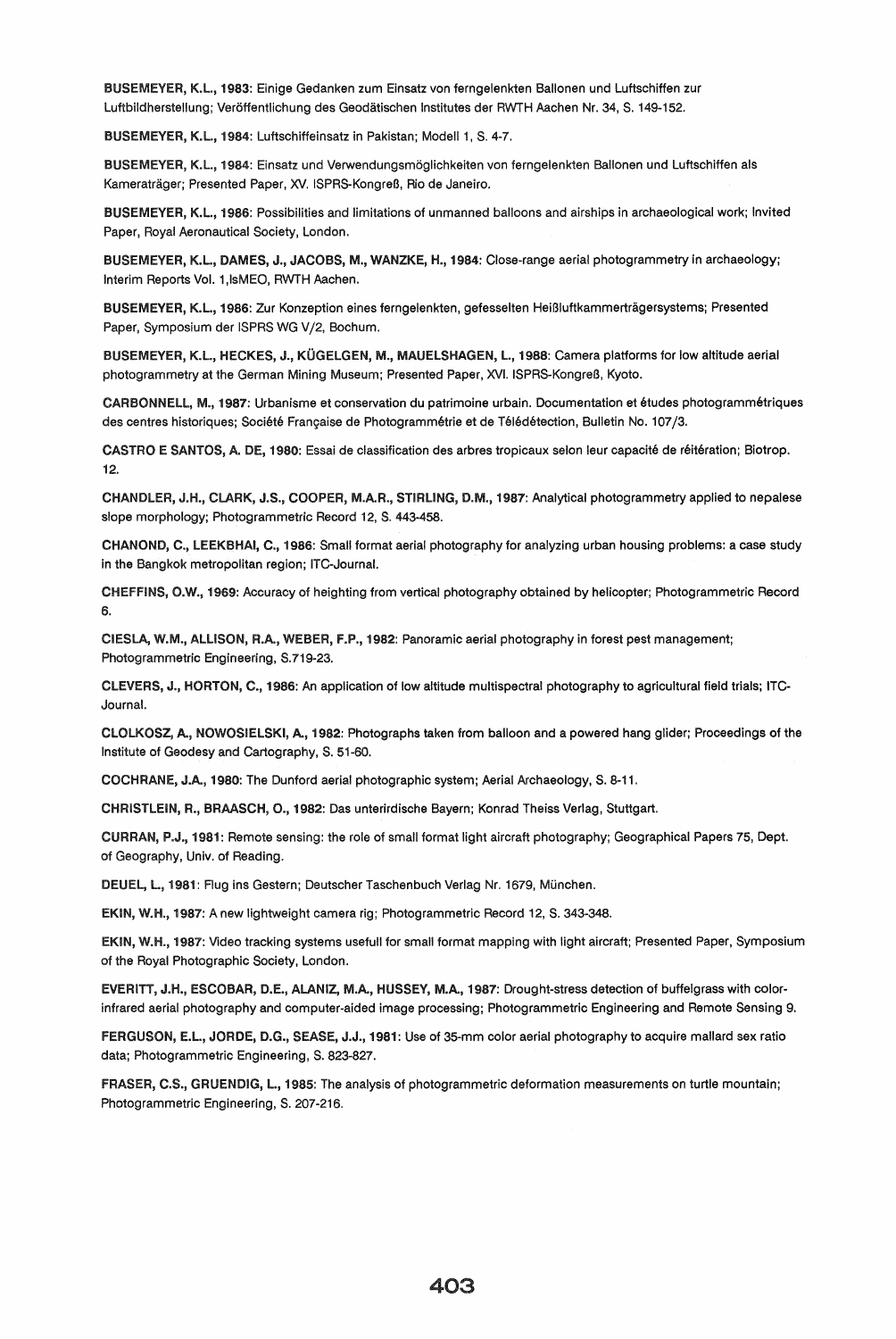BUSEMEYER, K.L., 1983: Einige Gedanken zum Einsatz von ferngelenkten Ballonen und Luftschiffen zur Luftbildherstellung; Veröffentlichung des Geodätischen Institutes der RWTH Aachen Nr. 34, S. 149-152.

BUSEMEYER, K.l., 1984: Luftschiffeinsatz in Pakistan; Modell 1, S. 4-7.

BUSEMEYER, K.l., 1984: Einsatz und Verwendungsmoglichkeiten von ferngelenkten Ballonen und Luftschiffen als Kameraträger; Presented Paper, XV. ISPRS-Kongreß, Rio de Janeiro.

BUS EM EYER, K.l., 1986: Possibilities and limitations of unmanned balloons and airships in archaeological work; Invited Paper, Royal Aeronautical Society, London.

BUSEMEYER, K.l., DAMES, J., JACOBS, M., WANZKE, H., 1984: Close-range aerial photogrammetry in archaeology; Interim Reports Vol. 1,lsMEO, RWTH Aachen.

BUSEMEYER, K.l., 1986: Zur Konzeption eines ferngelenkten, gefesselten HeiBluftkammertragersystems; Presented Paper, Symposium der ISPRS WG V/2, Bochum.

BUSEMEYER, K.L., HECKES, J., KÜGELGEN, M., MAUELSHAGEN, L., 1988: Camera platforms for low altitude aerial photogrammetry at the German Mining Museum; Presented Paper, XVI. ISPRS-Kongreß, Kyoto.

CARBONNElL, M., 1987: Urbanisme et conservation du patrimoine urbain. Documentation et etudes photogrammetriques des centres historiques; Société Française de Photogrammétrie et de Télédétection, Bulletin No. 107/3.

CASTRO E SANTOS, A. DE, 1980: Essai de classification des arbres tropicaux selon leur capacité de réitération; Biotrop. 12.

CHANDLER, J.H., CLARK, J.S., COOPER, M.A.R., STIRLING, D.M., 1987: Analytical photogrammetry applied to nepalese slope morphology; Photogrammetric Record 12, S. 443-458.

CHANOND, C., LEEKBHAI, C., 1986: Small format aerial photography for analyzing urban housing problems: a case study in the Bangkok metropolitan region; lTC-Journal.

CHEF FINS, O.W., 1969: Accuracy of heighting from vertical photography obtained by helicopter; Photogrammetric Record 6.

CIESlA, W.M., ALLISON, R.A., WEBER, F.P., 1982: Panoramic aerial photography in forest pest management; Photogrammetric Engineering, S.719-23.

ClEVERS, J., HORTON, C., 1986: An application of low altitude multispectral photography to agricultural field trials; ITC-Journal.

ClOLKOSZ, A., NOWOSIELSKI, A., 1982: Photographs taken from balloon and a powered hang glider; Proceedings of the Institute of Geodesy and Cartography, S. 51-60.

COCHRANE, J.A., 1980: The Dunford aerial photographic system; Aerial Archaeology, S. 8-11.

CHRISTLEIN, R., BRAASCH, 0., 1982: Das unterirdische 8ayern; Konrad Theiss Verlag, Stuttgart.

CURRAN, P.J., 1981: Remote sensing: the role of small format light aircraft photography; Geographical Papers 75, Dept. of Geography, Univ. of Reading.

DEUEL, L., 1981: Flug ins Gestern; Deutscher Taschenbuch Verlag Nr. 1679, München.

EKIN, W.H., 1987: A new lightweight camera rig; Photogrammetric Record 12, S. 343-348.

EKIN, W.H., 1987: Video tracking systems usefull for small format mapping with light aircraft; Presented Paper, Symposium of the Royal Photographic Society, London.

EVERITT, J.H., ESCOBAR, D.E., ALANIZ, M.A., HUSSEY, M.A., 1987: Drought-stress detection of buffelgrass with colorinfrared aerial photography and computer-aided image processing; Photogrammetric Engineering and Remote Sensing 9.

FERGUSON, E.l., JORDE, D.G., SEASE, J.J., 1981: Use of 35-mm color aerial photography to acquire mallard sex ratio data; Photogrammetric Engineering, S. 823-827.

FRASER, C.S., GRUENDIG, L., 1985: The analysis of photogrammetric deformation measurements on turtle mountain; Photogrammetric Engineering, S. 207-216.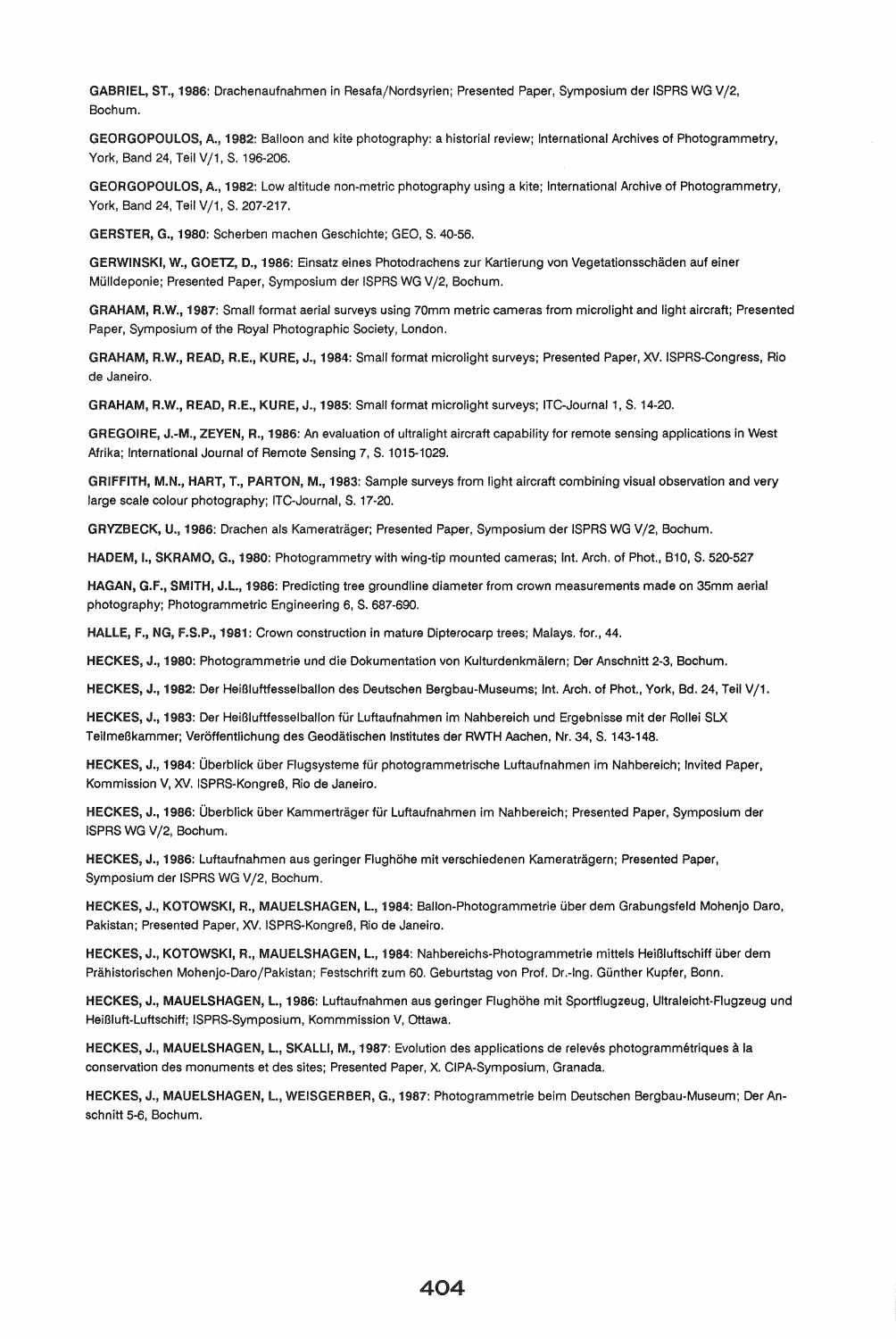GABRIEL, ST., 1986: Drachenaufnahmen in Resafa/Nordsyrien; Presented Paper, Symposium der ISPRS WG V/2, Bochum.

GEORGOPOULOS, A., 1982: Balloon and kite photography: a historial review; International Archives of Photogrammetry, York, Band 24, Teil V/1, S. 196-206.

GEORGOPOULOS, A., 1982: low altitude non-metric photography using a kite; International Archive of Photogrammetry, York, Band 24, Teil V/1, S. 207-217.

GERSTER, G., 1980: Scherben machen Geschichte; GEO, S. 40-56.

GERWINSKI, W., GOETZ, D., 1986: Einsatz eines Photodrachens zur Kartierung von Vegetationsschaden auf einer Mülldeponie; Presented Paper, Symposium der ISPRS WG V/2, Bochum.

GRAHAM, R.W., 1987: Small format aerial surveys using 70mm metric cameras from microlight and light aircraft; Presented Paper, Symposium of the Royal Photographic Society, london.

GRAHAM, R.W., READ, R.E., KURE, J., 1984: Small format microlight surveys; Presented Paper, XV. ISPRS-Congress, Rio de Janeiro.

GRAHAM, R.W., READ, R.E., KURE, J., 1985: Small format microlight surveys; lTC-Journal 1, S. 14-20.

GREGOIRE, J.-M., ZEYEN, R., 1986: An evaluation of ultralight aircraft capability for remote sensing applications in West Afrika; International Journal of Remote Sensing 7, S. 1015-1029.

GRIFFITH, M.N., HART, T., PARTON, M., 1983: Sample surveys from light aircraft combining visual observation and very large scale colour photography; lTC-Journal, S. 17-20.

GRYZBECK, U., 1986: Drachen als Kameraträger; Presented Paper, Symposium der ISPRS WG V/2, Bochum.

HADEM, I., SKRAMO, G., 1980: Photogrammetrywith wing-tip mounted cameras; Int. Arch. of Phot., B10, S. 520-527

HAGAN, G.F., SMITH, J.l., 1986: Predicting tree groundline diameter from crown measurements made on 35mm aerial photography; Photogrammetric Engineering 6, S. 687-690.

HALLE, F., NG, F.S.P., 1981: Crown construction in mature Dipterocarp trees; Malays. for., 44.

HECKES, J., 1980: Photogrammetrie und die Dokumentation von Kulturdenkmaiern; Der Anschnitt 2-3, Bochum.

HECKES, J., 1982: Der HeiBluftfesselbalion des Deutschen Bergbau-Museums; Int. Arch. of Phot., York, Bd. 24, Teil V/1.

HECKES, J., 1983: Der Heißluftfesselballon für Luftaufnahmen im Nahbereich und Ergebnisse mit der Rollei SLX TeilmeBkammer; Veroffentlichung des Geodatischen Institutes der RWTH Aachen, Nr. 34, S. 143-148.

HECKES, J., 1984: Überblick über Flugsysteme für photogrammetrische Luftaufnahmen im Nahbereich; Invited Paper, Kommission V, XV. ISPRS-Kongreß, Rio de Janeiro.

HECKES, J., 1986: Überblick über Kammerträger für Luftaufnahmen im Nahbereich; Presented Paper, Symposium der (SPRS WG Vj2, Bochum.

HECKES, J., 1986: luftaufnahmen aus geringer Flughohe mit verschiedenen Kameratragern; Presented Paper, Symposium der ISPRS WG V/2, Bochum.

HECKES, J., KOTOWSKI, R., MAUElSHAGEN, l., 1984: Ballon-Photogrammetrie uber dem Grabungsfeld Mohenjo Daro, Pakistan; Presented Paper, XV. ISPRS-Kongreß, Rio de Janeiro.

HECKES, J., KOTOWSKI, R., MAUElSHAGEN, l., 1984: Nahbereichs-Photogrammetrie mittels Hei13luftschiff uber dem Prahistorischen Mohenjo-Daro/Pakistan; Festschrift zum 60. Geburtstag von Prof. Dr.-Ing. Gunther Kupfer, Bonn.

HECKES, J., MAUElSHAGEN, l., 1986: Luftaufnahmen aus geringer Ffughohe mit Sportflugzeug, Ultraleicht-Flugzeug und HeiBluft-luftschiff; ISPRS-Symposium, Kommmission V, Ottawa.

HECKES, J., MAUELSHAGEN, L., SKALLI, M., 1987: Evolution des applications de relevés photogrammétriques à la conservation des monuments et des sites; Presented Paper, X. CIPA-Symposium, Granada.

HECKES, J., MAUElSHAGEN, l., WEISGERBER, G., 1987: Photogrammetrie beim Deutschen Bergbau-Museum; Der Anschnitt 5-6, Bochum.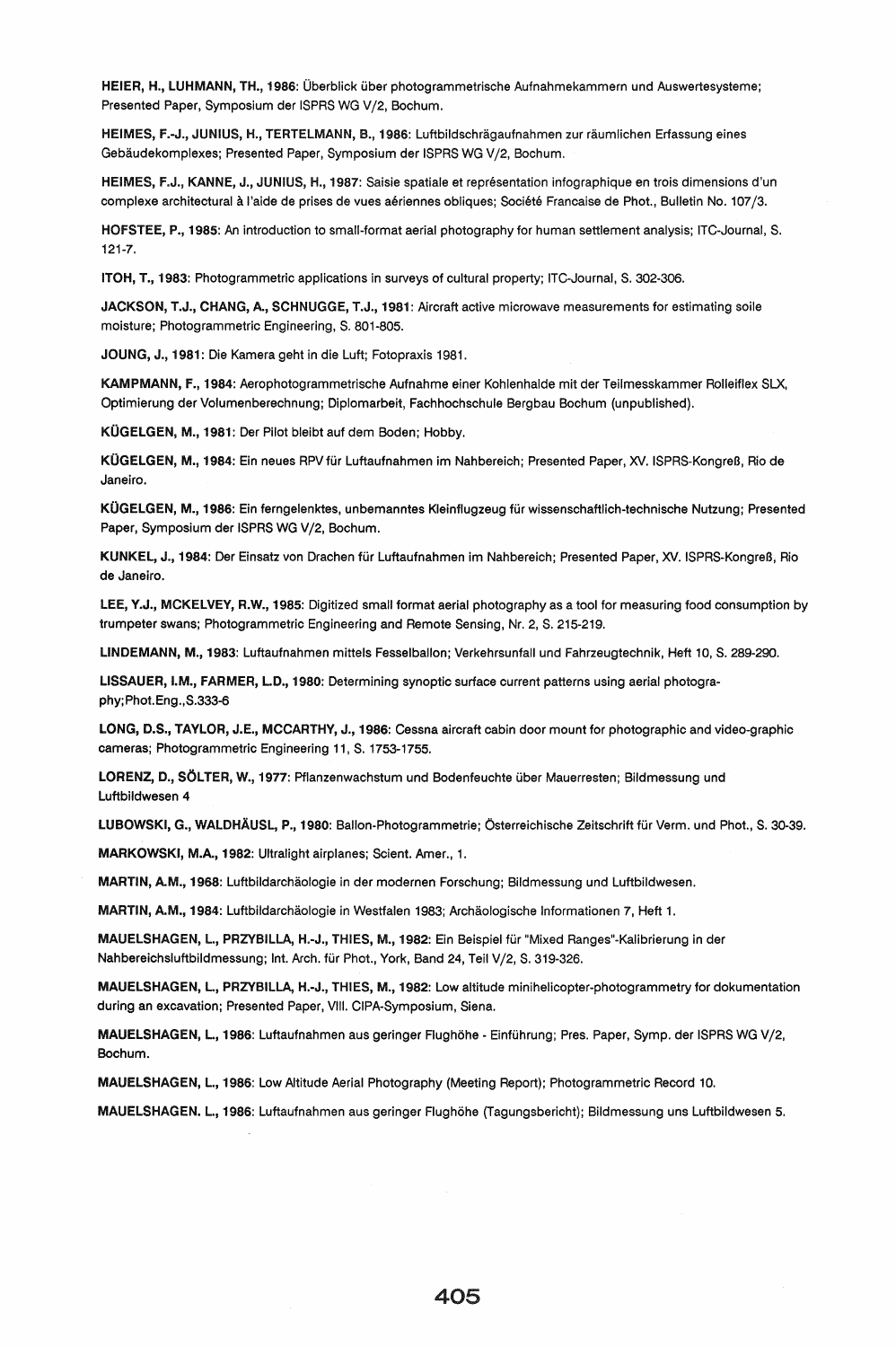HEIER, H., LUHMANN, TH., 1986: Überblick über photogrammetrische Aufnahmekammern und Auswertesysteme; Presented Paper, Symposium der ISPRS WG V/2, Bochum.

HElMES, F.-J., JUNIUS, H., TERTELMANN, B., 1986: Luftbildschragaufnahmen zur raumlichen Erfassung eines Gebäudekomplexes; Presented Paper, Symposium der ISPRS WG V/2, Bochum.

HElMES, F.J., KANNE, J., JUNIUS, H., 1987: Saisie spatiale et representation infographique en trois dimensions d'un complexe architectural a I'aide de prises de vues aeriennes obliques; Societe Francaise de Phot., Bulletin No. 107/3.

HOFSTEE, P., 1985: An introduction to small-format aerial photography for human settlement analysis; lTC-Journal, S. 121-7.

ITOH, T., 1983: Photogrammetric applications in surveys of cultural property; lTC-Journal, S. 302-306.

JACKSON, T.J., CHANG, A., SCHNUGGE, T.J., 1981: Aircraft active microwave measurements for estimating soile moisture; Photogrammetric Engineering, S. 801-805.

JOUNG, J., 1981: Die Kamera geht in die luft; Fotopraxis 1981.

KAMPMANN, F., 1984: Aerophotogrammetrische Aufnahme einer Kohlenhalde mit der Teilmesskammer Rolleiflex SLX, Optimierung der Volumenberechnung; Diplomarbeit, Fachhochschule Bergbau Bochum (unpublished).

KÜGELGEN, M., 1981: Der Pilot bleibt auf dem Boden; Hobby.

KÜGELGEN, M., 1984: Ein neues RPV für Luftaufnahmen im Nahbereich; Presented Paper, XV. ISPRS-Kongreß, Rio de Janeiro.

KÜGELGEN, M., 1986: Ein ferngelenktes, unbemanntes Kleinflugzeug für wissenschaftlich-technische Nutzung; Presented Paper, Symposium der ISPRS WG V/2, Bochum.

KUNKEL, J., 1984: Der Einsatz von Drachen fur luftaufnahmen im Nahbereich; Presented Paper, XV. ISPRS-KongreB, Rio de Janeiro.

LEE, Y.J., MCKELVEY, R.W., 1985: Digitized small format aerial photography as a tool for measuring food consumption by trumpeter swans; Photogrammetric Engineering and Remote Sensing, Nr. 2, S. 215-219.

LINDEMANN, M., 1983: luftaufnahmen mittels Fesselballon; Verkehrsunfall und Fahrzeugtechnik, Heft 10, S. 289-290.

lISSAUER, I.M., FARMER, l.D., 1980: Determining synoptic surface current patterns using aerial photography; Phot. Eng., S.333-6

LONG, D.S., TAYLOR, J.E., MCCARTHY, J., 1986: Cessna aircraft cabin door mount for photographic and video-graphic cameras; Photogrammetric Engineering 11, S. 1753-1755.

LORENZ, D., SÖLTER, W., 1977: Pflanzenwachstum und Bodenfeuchte über Mauerresten; Bildmessung und Luftbildwesen 4

LUBOWSKI, G., WALDHÄUSL, P., 1980: Ballon-Photogrammetrie; Österreichische Zeitschrift für Verm. und Phot., S. 30-39.

MARKOWSKI, M.A., 1982: Ultralight airplanes; Scient. Amer., 1.

MARTIN, A.M., 1968: Luftbildarchäologie in der modernen Forschung; Bildmessung und Luftbildwesen.

MARTIN, A.M., 1984: Luftbildarchäologie in Westfalen 1983; Archäologische Informationen 7, Heft 1.

MAUELSHAGEN, L., PRZYBILLA, H.-J., THIES, M., 1982: Ein Beispiel für "Mixed Ranges"-Kalibrierung in der Nahbereichsluftbildmessung; Int. Arch. für Phot., York, Band 24, Teil V/2, S. 319-326.

MAUELSHAGEN, l., PRZVBILlA, H.-J., THIES, M., 1982: low altitude minihelicopter-photogrammetry for dokumentation during an excavation; Presented Paper, VIII. CIPA-Symposium, Siena.

MAUELSHAGEN, L., 1986: Luftaufnahmen aus geringer Flughöhe - Einführung; Pres. Paper, Symp. der ISPRS WG V/2, Bochum.

MAUELSHAGEN, L., 1986: Low Altitude Aerial Photography (Meeting Report); Photogrammetric Record 10.

MAUELSHAGEN. l., 1986: Luftaufnahmen aus geringer Flughohe (Tagungsbericht); Bildmessung uns luftbildwesen 5.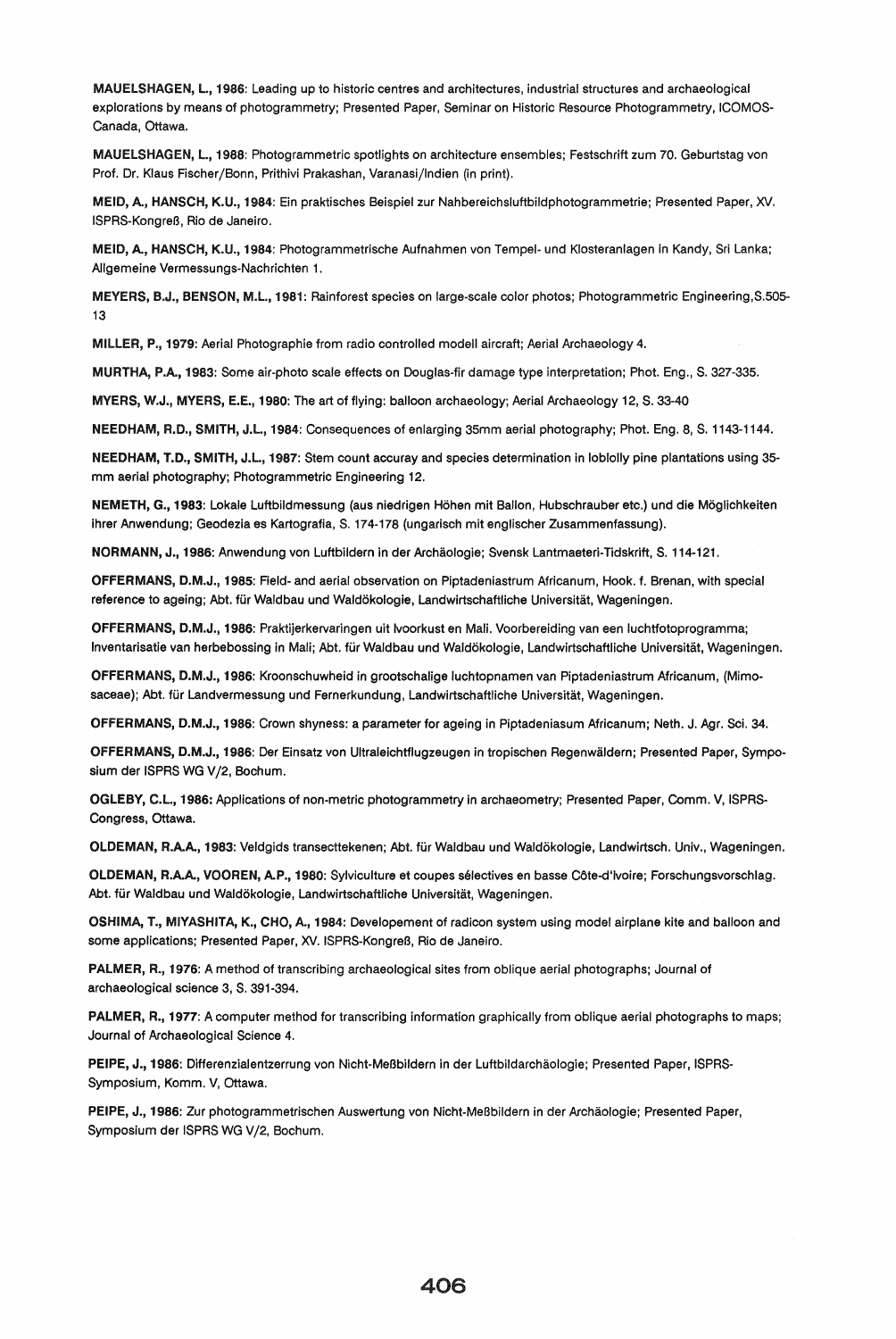MAUELSHAGEN, L, 1986: Leading up to historic centres and architectures, industrial structures and archaeological explorations by means of photogrammetry; Presented Paper, Seminar on Historic Resource Photogrammetry, ICOMOS-Canada, Ottawa.

MAUELSHAGEN, L., 1988: Photogrammetric spotlights on architecture ensembles; Festschrift zum 70. Geburtstag von Prof. Dr. Klaus Fischer/Bonn, Prithivi Prakashan, Varanasi/Indien (in print).

MEID, A., HANSCH, K.U., 1984: Ein praktisches Beispiel zur Nahbereichsluftbildphotogrammetrie; Presented Paper, XV. ISPRS-KongreB, Rio de Janeiro.

MElD, A, HANSCH, K.U., 1984: Photogrammetrische Aufnahmen von Tempel- und Klosteranlagen in Kandy, Sri Lanka; Allgemeine Vermessungs-Nachrichten 1.

MEYERS, B.J., BENSON, M.L., 1981: Rainforest species on large-scale color photos; Photogrammetric Engineering,S.505-13

MILLER, P., 1979: Aerial Photographie from radio controlled modell aircraft; Aerial Archaeology 4.

MURTHA, P.A., 1983: Some air-photo scale effects on Douglas-fir damage type interpretation; Phot. Eng., S. 327-335.

MYERS, W.J., MYERS, E.E., 1980: The art of flying: balloon archaeology; Aerial Archaeology 12, S. 33-40

NEEDHAM, R.D., SMITH, J.L., 1984: Consequences of enlarging 35mm aerial photography; Phot. Eng. 8, S. 1143-1144.

NEEDHAM, T.D., SMITH, J.L, 1987: Stem count accuray and species determination in loblolly pine plantations using 35 mm aerial photography; Photogrammetric Engineering 12.

NEMETH, G., 1983: Lokale Luftbildmessung (aus niedrigen Hohen mit Bailon, Hubschrauber etc.) und die Moglichkeiten ihrer Anwendung; Geodezia es Kartografia, S. 174-178 (ungarisch mit englischer Zusammenfassung).

NORMANN, J., 1986: Anwendung von Luftbildern in der Archaologie; Svensk Lantmaeteri-Tidskrift, S. 114-121.

OFFERMANS, D.M.J., 1985: Field- and aerial observation on Piptadeniastfum Africanum, Hook. f. Brenan, with special reference to ageing; Abt. für Waldbau und Waldökologie, Landwirtschaftliche Universität, Wageningen.

OFFER MANS, D.M.J., 1986: Praktijerkervaringen uit Ivoorkust en Mali. Voorbereiding van een luchtfotoprogramma; Inventarisatie van herbebossing in Mali; Abt. für Waldbau und Waldökologie, Landwirtschaftliche Universität, Wageningen.

OFFER MANS, D.M.J., 1986: Kroonschuwheid in grootschalige luchtopnamen van Piptadeniastrum Africanum, (Mimosaceae); Abt. fur Landvermessung und Fernerkundung, Landwirtschaftliche Universitat, Wageningen.

OFFERMANS, D.M.J., 1986: Crown shyness: a parameter for ageing in Piptadeniasum Africanum; Neth. J. Agr. Sci. 34.

OFFERMANS, D.M.J., 1986: Der Einsatz von Ultraleichtflugzeugen in tropischen Regenwaldern; Presented Paper, Symposium der ISPRS WG V/2, Bochum.

OGLEBY, C.l., 1986: Applications of non-metric photogrammetry in archaeometry; Presented Paper, Comm. V, ISPRS· Congress, Ottawa.

OLDEMAN, R.AA, 1983: Veldgids transecttekenen; Abt. fur Waldbau und Waldokologie, Landwirtsch. Univ., Wageningen.

OLDEMAN, R.A.A., VOOREN, A.P., 1980: Sylviculture et coupes sélectives en basse Côte-d'ivoire; Forschungsvorschlag. Abt. für Waldbau und Waldökologie, Landwirtschaftliche Universität, Wageningen.

OSHIMA, T., MIYASHITA, K., CHO, A, 1984: Developement of radicon system using model airplane kite and balloon and some applications; Presented Paper, XV. ISPRS-Kongreß, Rio de Janeiro.

PALMER, R., 1976: A method of transcribing archaeological sites from oblique aerial photographs; Journal of archaeological science 3, S. 391-394.

PALMER, R., 1977: A computer method for transcribing information graphically from oblique aerial photographs to maps; Journal of Archaeological Science 4.

PEIPE, J., 1986: Differenzialentzerrung von Nicht-Meßbildern in der Luftbildarchäologie; Presented Paper, ISPRS-Symposium, Komm. V, Ottawa.

PEIPE, J., 1986: Zur photogrammetrischen Auswertung von Nicht-Meßbildern in der Archäologie; Presented Paper, Symposium der ISPRS WG V/2, Bochum.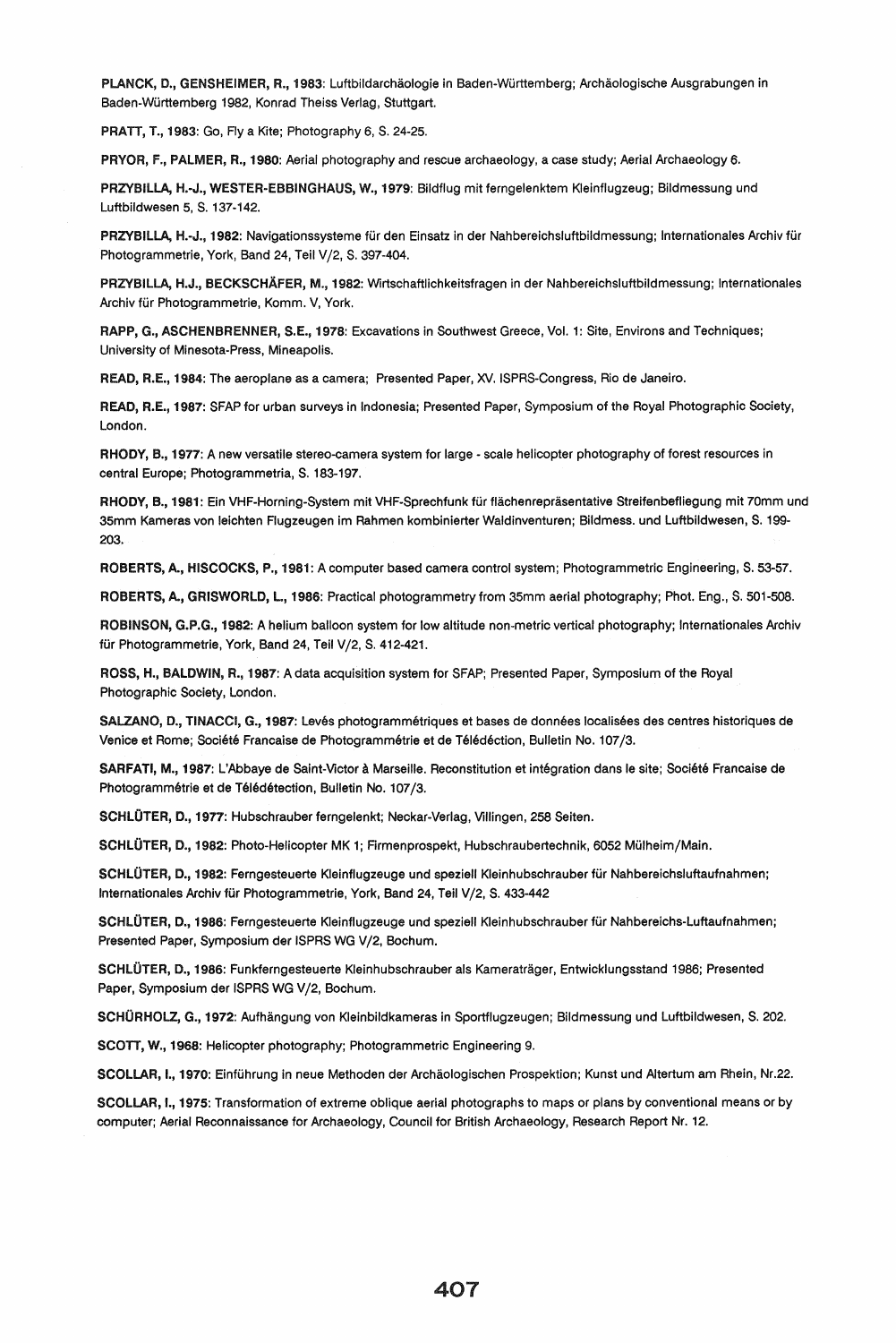PLANCK, D., GENSHEIMER, R., 1983: Luftbildarchäologie in Baden-Württemberg; Archäologische Ausgrabungen in Baden-Wurttemberg 1982, Konrad Theiss Verlag, Stuttgart.

PRATT, T., 1983: Go, Fly a Kite; Photography 6, S. 24-25.

PRYOR, F., PALMER, R., 1980: Aerial photography and rescue archaeology, a case study; Aerial Archaeology 6.

PRZYBILLA, H .- J., WESTER-EBBINGHAUS, W., 1979: Bildflug mit ferngelenktem Kleinflugzeug; Bildmessung und Luftbildwesen 5, S. 137-142.

PRZYBILLA, H.-J., 1982: Navigationssysteme für den Einsatz in der Nahbereichsluftbildmessung; Internationales Archiv für Photogrammetrie, York, Band 24, Teil V/2, S. 397-404.

PRZVBILlA, H.J., BECKSCHAFER, M., 1982: Wirtschaftlichkeitsfragen in der Nahbereichsluftbildmessung; Internationales Archiv für Photogrammetrie, Komm. V, York.

RAPP, G., ASCHENBRENNER, S.E., 1918: Excavations in Southwest Greece, Vol. 1: Site, Environs and Techniques; University of Minesota-Press, Mineapolis.

READ, R.E., 1984: The aeroplane as a camera; Presented Paper, XV. ISPRS-Congress, Rio de Janeiro.

READ, R.E., 1981: SFAP for urban surveys in Indonesia; Presented Paper, Symposium of the Royal Photographic Society, London.

RHODY, B., 1977: A new versatile stereo-camera system for large - scale helicopter photography of forest resources in central Europe; Photogrammetria, S. 183-197.

RHODY, B., 1981: Ein VHF-Horning-System mit VHF-Sprechfunk für flächenrepräsentative Streifenbefliegung mit 70mm und 35mm Kameras von leichten Flugzeugen im Rahmen kombinierter Waldinventuren; Bildmess. und Luftbildwesen, S. 199- 203.

ROBERTS, A., HISCOCKS, P., 1981: A computer based camera control system; Photogrammetric Engineering, S. 53-57.

ROBERTS, A., GRISWORLD, L., 1986: Practical photogrammetry from 35mm aerial photography; Phot. Eng., S. 501-508.

ROBINSON, G.P.G., 1982: A helium balloon system for low altitude non-metric vertical photography; Internationales Archiv für Photogrammetrie, York, Band 24, Teil V/2, S. 412-421.

ROSS, H., BALDWIN, R., 1987: A data acquisition system for SFAP; Presented Paper, Symposium of the Royal Photographic Society, London.

SALZANO, D., TINACCI, G., 1987: Levés photogrammétriques et bases de données localisées des centres historiques de Venice et Rome; Société Francaise de Photogrammétrie et de Télédéction, Bulletin No. 107/3.

SARFATI, M., 1987: L'Abbaye de Saint-Victor à Marseille. Reconstitution et intégration dans le site; Société Francaise de Photogrammétrie et de Télédétection, Bulletin No. 107/3.

SCHLÜTER, D., 1977: Hubschrauber ferngelenkt; Neckar-Verlag, Villingen, 258 Seiten.

SCHLÜTER, D., 1982: Photo-Helicopter MK 1; Firmenprospekt, Hubschraubertechnik, 6052 Mülheim/Main.

SCHLÜTER, D., 1982: Ferngesteuerte Kleinflugzeuge und speziell Kleinhubschrauber für Nahbereichsluftaufnahmen; Internationales Archiv für Photogrammetrie, York, Band 24, Teil V/2, S. 433-442

SCHLÜTER, D., 1986: Ferngesteuerte Kleinflugzeuge und speziell Kleinhubschrauber für Nahbereichs-Luftaufnahmen; Presented Paper, Symposium der ISPRS WG V/2, Bochum.

SCHLÜTER, D., 1986: Funkferngesteuerte Kleinhubschrauber als Kameraträger, Entwicklungsstand 1986; Presented Paper, Symposium der ISPRS WG V/2, Bochum.

SCHÜRHOLZ, G., 1972: Aufhängung von Kleinbildkameras in Sportflugzeugen; Bildmessung und Luftbildwesen, S. 202.

SCOTT, W., 1968: Helicopter photography; Photogrammetric Engineering 9.

SCOLLAR, I., 1970: Einführung in neue Methoden der Archäologischen Prospektion; Kunst und Altertum am Rhein, Nr.22.

SCOLLAR, I., 1915: Transformation of extreme oblique aerial photographs to maps or plans by conventional means or by computer; Aerial Reconnaissance for Archaeology, Council for British Archaeology, Research Report Nr. 12.